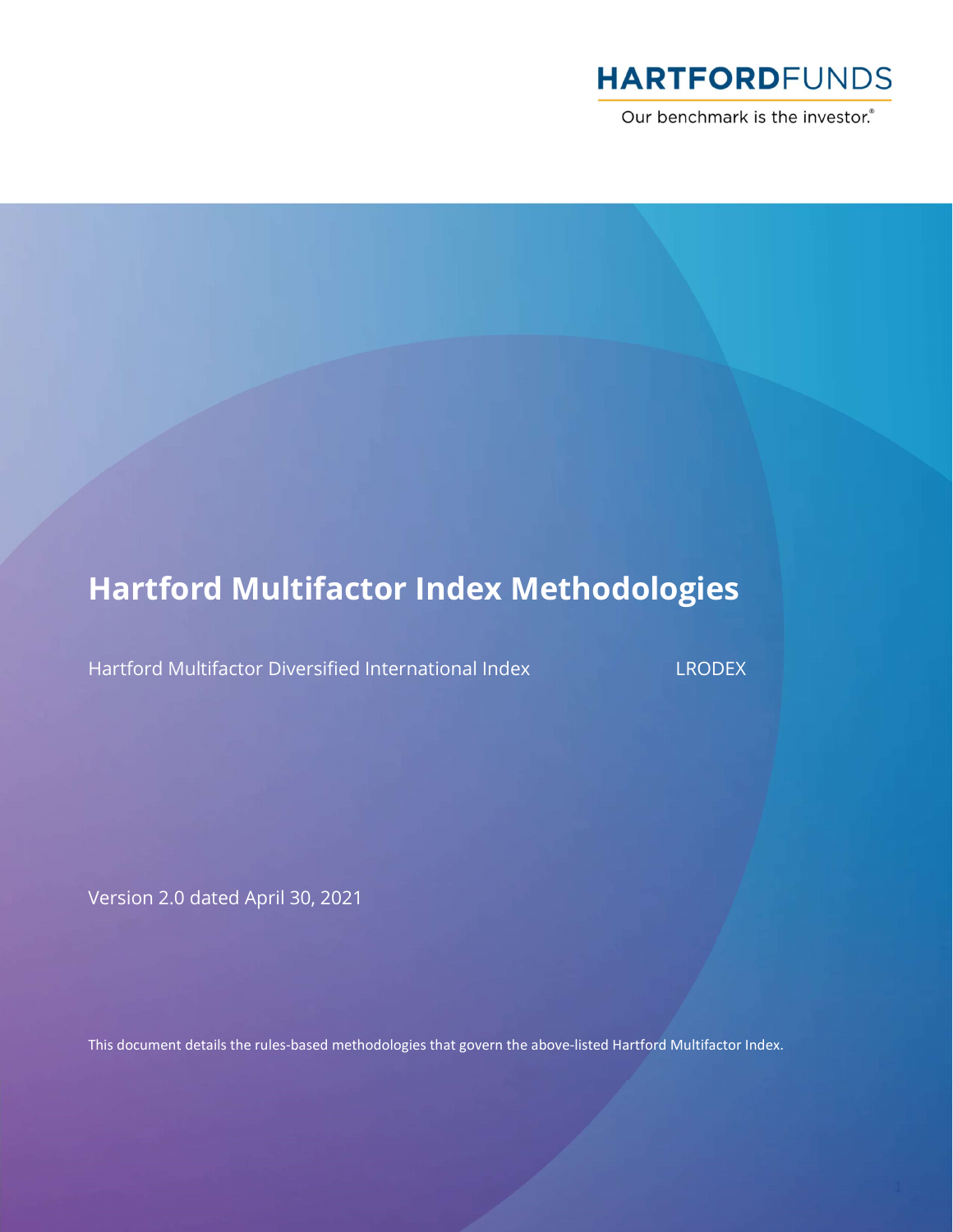

Our benchmark is the investor.®

# Hartford Multifactor Index Methodologies

Hartford Multifactor Diversified International Index LRODEX

Version 2.0 dated April 30, 2021

This document details the rules-based methodologies that govern the above-listed Hartford Multifactor Index.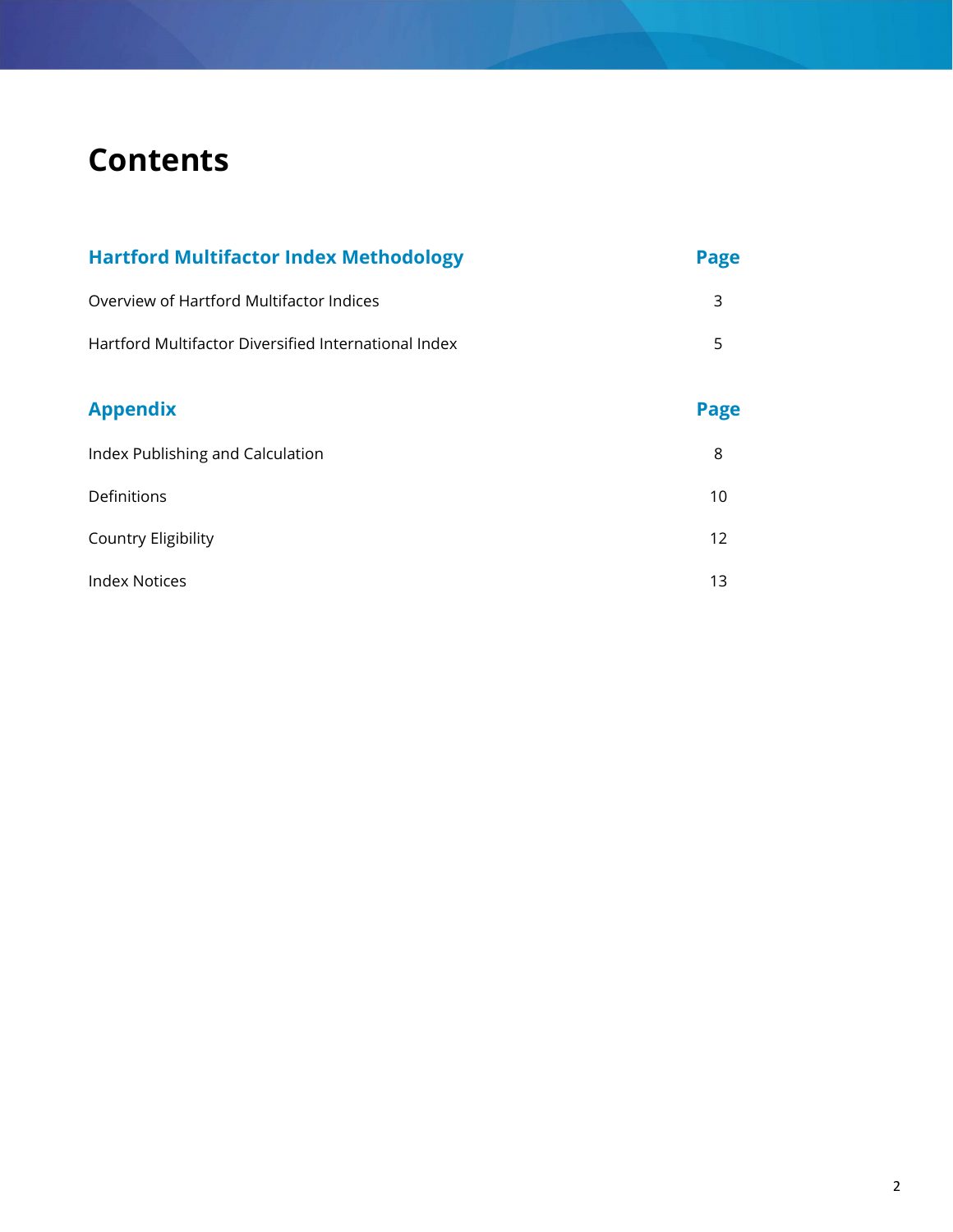# **Contents**

| <b>Hartford Multifactor Index Methodology</b>        | <b>Page</b> |
|------------------------------------------------------|-------------|
| Overview of Hartford Multifactor Indices             | 3           |
| Hartford Multifactor Diversified International Index | 5           |
| <b>Appendix</b>                                      | Page        |
| Index Publishing and Calculation                     | 8           |
| Definitions                                          | 10          |
| <b>Country Eligibility</b>                           | 12          |
| <b>Index Notices</b>                                 | 13          |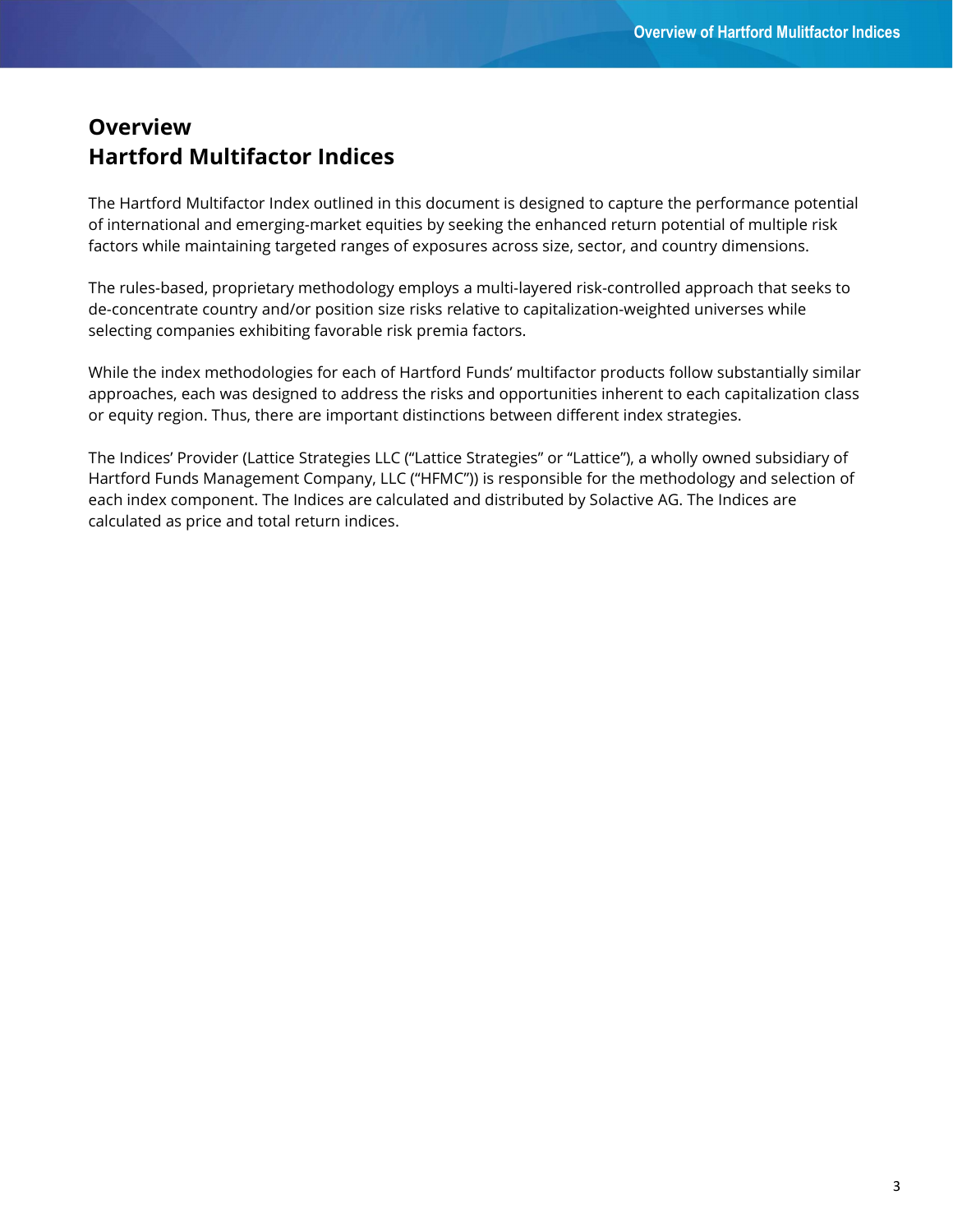# **Overview** Hartford Multifactor Indices

The Hartford Multifactor Index outlined in this document is designed to capture the performance potential of international and emerging-market equities by seeking the enhanced return potential of multiple risk factors while maintaining targeted ranges of exposures across size, sector, and country dimensions.

The rules-based, proprietary methodology employs a multi-layered risk-controlled approach that seeks to de-concentrate country and/or position size risks relative to capitalization-weighted universes while selecting companies exhibiting favorable risk premia factors.

While the index methodologies for each of Hartford Funds' multifactor products follow substantially similar approaches, each was designed to address the risks and opportunities inherent to each capitalization class or equity region. Thus, there are important distinctions between different index strategies.

The Indices' Provider (Lattice Strategies LLC ("Lattice Strategies" or "Lattice"), a wholly owned subsidiary of Hartford Funds Management Company, LLC ("HFMC")) is responsible for the methodology and selection of each index component. The Indices are calculated and distributed by Solactive AG. The Indices are calculated as price and total return indices.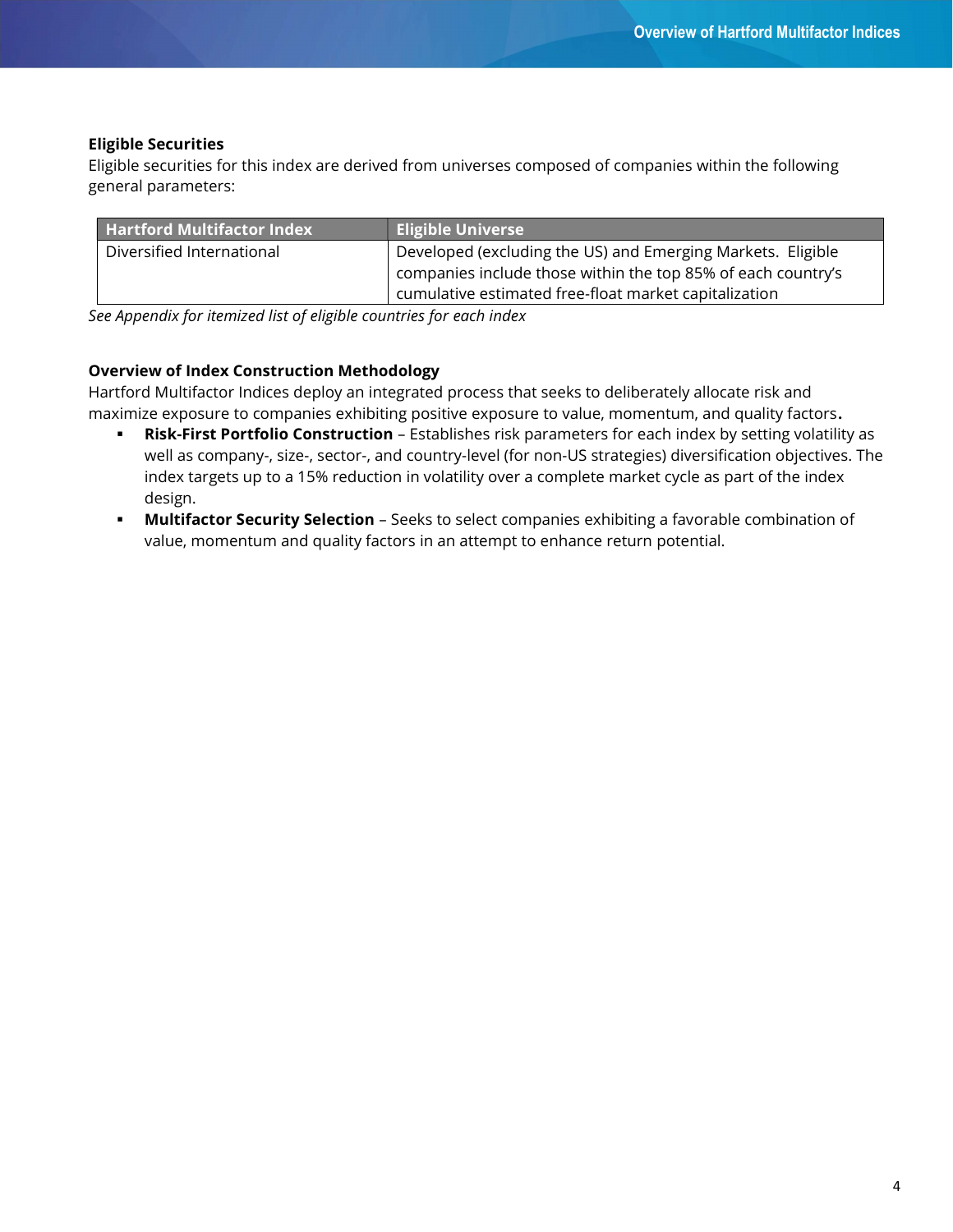## Eligible Securities

Eligible securities for this index are derived from universes composed of companies within the following general parameters:

| <b>Hartford Multifactor Index</b> | Eligible Universe                                            |
|-----------------------------------|--------------------------------------------------------------|
| Diversified International         | Developed (excluding the US) and Emerging Markets. Eligible  |
|                                   | companies include those within the top 85% of each country's |
|                                   | cumulative estimated free-float market capitalization        |

See Appendix for itemized list of eligible countries for each index

## Overview of Index Construction Methodology

Hartford Multifactor Indices deploy an integrated process that seeks to deliberately allocate risk and maximize exposure to companies exhibiting positive exposure to value, momentum, and quality factors.

- **Risk-First Portfolio Construction** Establishes risk parameters for each index by setting volatility as well as company-, size-, sector-, and country-level (for non-US strategies) diversification objectives. The index targets up to a 15% reduction in volatility over a complete market cycle as part of the index design.
- **Multifactor Security Selection** Seeks to select companies exhibiting a favorable combination of value, momentum and quality factors in an attempt to enhance return potential.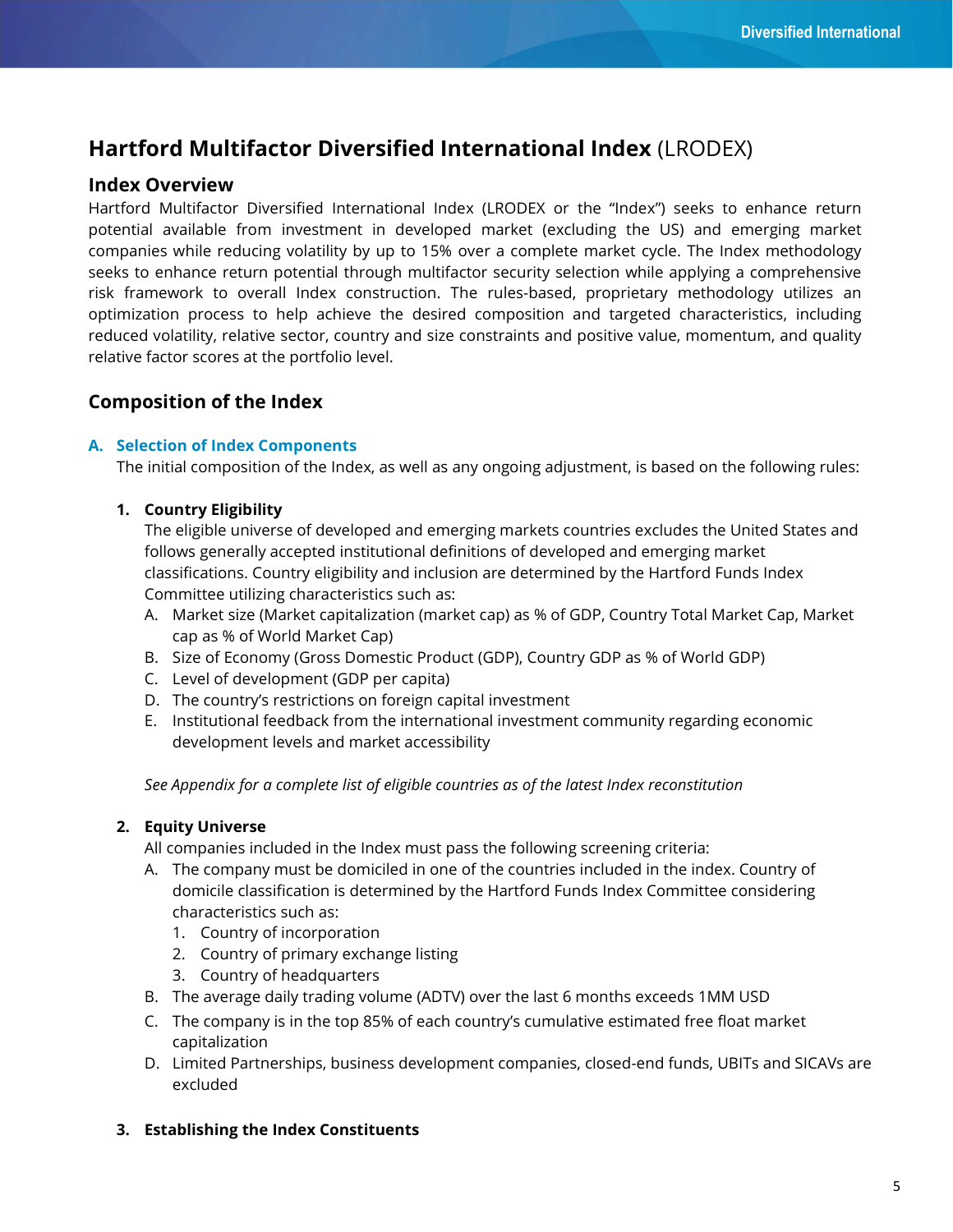# Hartford Multifactor Diversified International Index (LRODEX)

### Index Overview

Hartford Multifactor Diversified International Index (LRODEX or the "Index") seeks to enhance return potential available from investment in developed market (excluding the US) and emerging market companies while reducing volatility by up to 15% over a complete market cycle. The Index methodology seeks to enhance return potential through multifactor security selection while applying a comprehensive risk framework to overall Index construction. The rules-based, proprietary methodology utilizes an optimization process to help achieve the desired composition and targeted characteristics, including reduced volatility, relative sector, country and size constraints and positive value, momentum, and quality relative factor scores at the portfolio level.

# Composition of the Index

#### A. Selection of Index Components

The initial composition of the Index, as well as any ongoing adjustment, is based on the following rules:

#### 1. Country Eligibility

The eligible universe of developed and emerging markets countries excludes the United States and follows generally accepted institutional definitions of developed and emerging market classifications. Country eligibility and inclusion are determined by the Hartford Funds Index Committee utilizing characteristics such as:

- A. Market size (Market capitalization (market cap) as % of GDP, Country Total Market Cap, Market cap as % of World Market Cap)
- B. Size of Economy (Gross Domestic Product (GDP), Country GDP as % of World GDP)
- C. Level of development (GDP per capita)
- D. The country's restrictions on foreign capital investment
- E. Institutional feedback from the international investment community regarding economic development levels and market accessibility

See Appendix for a complete list of eligible countries as of the latest Index reconstitution

#### 2. Equity Universe

All companies included in the Index must pass the following screening criteria:

- A. The company must be domiciled in one of the countries included in the index. Country of domicile classification is determined by the Hartford Funds Index Committee considering characteristics such as:
	- 1. Country of incorporation
	- 2. Country of primary exchange listing
	- 3. Country of headquarters
- B. The average daily trading volume (ADTV) over the last 6 months exceeds 1MM USD
- C. The company is in the top 85% of each country's cumulative estimated free float market capitalization
- D. Limited Partnerships, business development companies, closed-end funds, UBITs and SICAVs are excluded

#### 3. Establishing the Index Constituents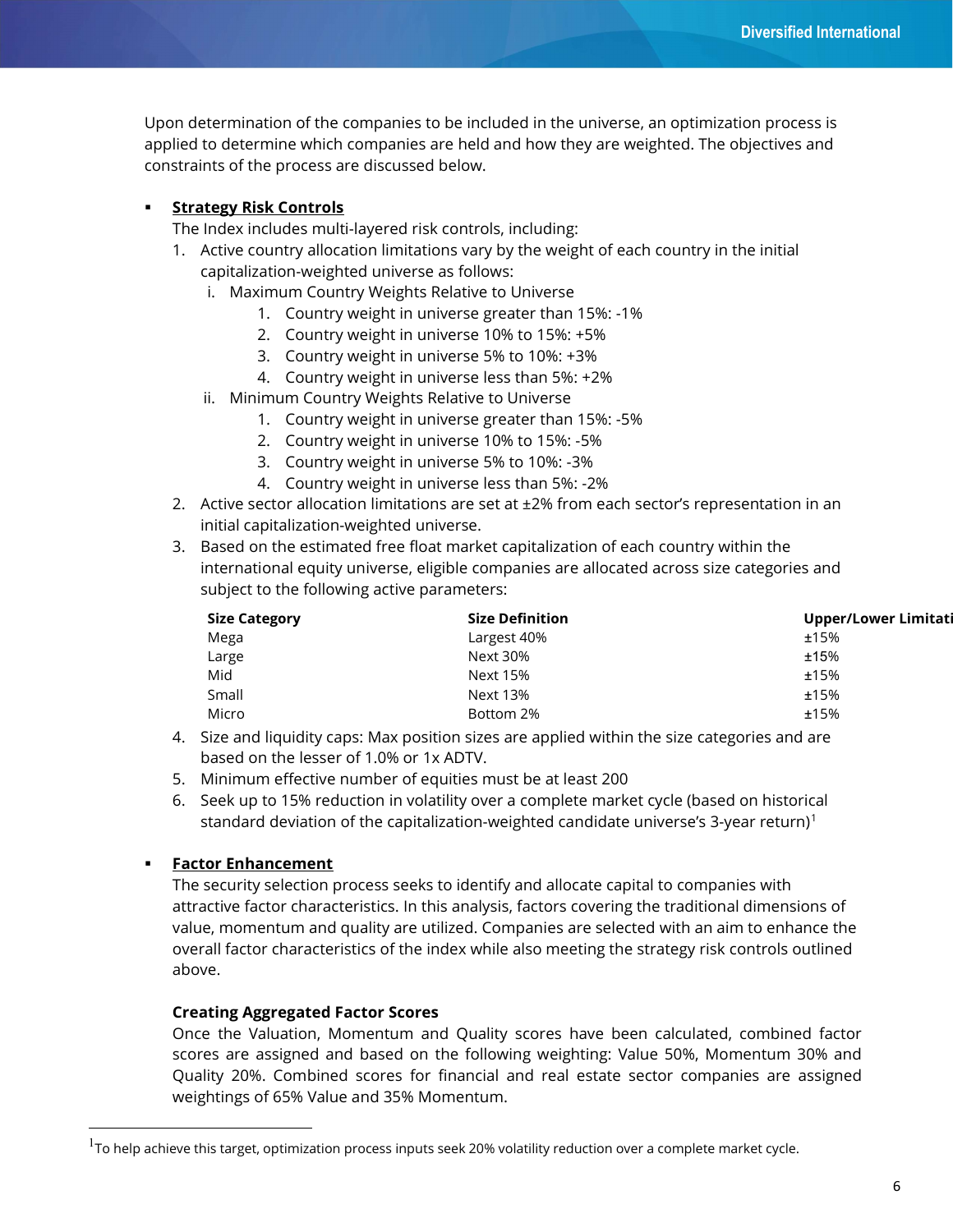Upon determination of the companies to be included in the universe, an optimization process is applied to determine which companies are held and how they are weighted. The objectives and constraints of the process are discussed below.

#### **Strategy Risk Controls**

The Index includes multi-layered risk controls, including:

- 1. Active country allocation limitations vary by the weight of each country in the initial capitalization-weighted universe as follows:
	- i. Maximum Country Weights Relative to Universe
		- 1. Country weight in universe greater than 15%: -1%
		- 2. Country weight in universe 10% to 15%: +5%
		- 3. Country weight in universe 5% to 10%: +3%
		- 4. Country weight in universe less than 5%: +2%
	- ii. Minimum Country Weights Relative to Universe
		- 1. Country weight in universe greater than 15%: -5%
		- 2. Country weight in universe 10% to 15%: -5%
		- 3. Country weight in universe 5% to 10%: -3%
		- 4. Country weight in universe less than 5%: -2%
- 2. Active sector allocation limitations are set at ±2% from each sector's representation in an initial capitalization-weighted universe.
- 3. Based on the estimated free float market capitalization of each country within the international equity universe, eligible companies are allocated across size categories and subject to the following active parameters:

| <b>Size Category</b> | <b>Size Definition</b> | <b>Upper/Lower Limitati</b> |
|----------------------|------------------------|-----------------------------|
| Mega                 | Largest 40%            | ±15%                        |
| Large                | Next 30%               | ±15%                        |
| Mid                  | <b>Next 15%</b>        | ±15%                        |
| Small                | <b>Next 13%</b>        | ±15%                        |
| Micro                | Bottom 2%              | ±15%                        |

- 4. Size and liquidity caps: Max position sizes are applied within the size categories and are based on the lesser of 1.0% or 1x ADTV.
- 5. Minimum effective number of equities must be at least 200
- 6. Seek up to 15% reduction in volatility over a complete market cycle (based on historical standard deviation of the capitalization-weighted candidate universe's 3-year return)<sup>1</sup>

#### **Factor Enhancement**

-

The security selection process seeks to identify and allocate capital to companies with attractive factor characteristics. In this analysis, factors covering the traditional dimensions of value, momentum and quality are utilized. Companies are selected with an aim to enhance the overall factor characteristics of the index while also meeting the strategy risk controls outlined above.

#### Creating Aggregated Factor Scores

Once the Valuation, Momentum and Quality scores have been calculated, combined factor scores are assigned and based on the following weighting: Value 50%, Momentum 30% and Quality 20%. Combined scores for financial and real estate sector companies are assigned weightings of 65% Value and 35% Momentum.

 $^{\rm 1}$ To help achieve this target, optimization process inputs seek 20% volatility reduction over a complete market cycle.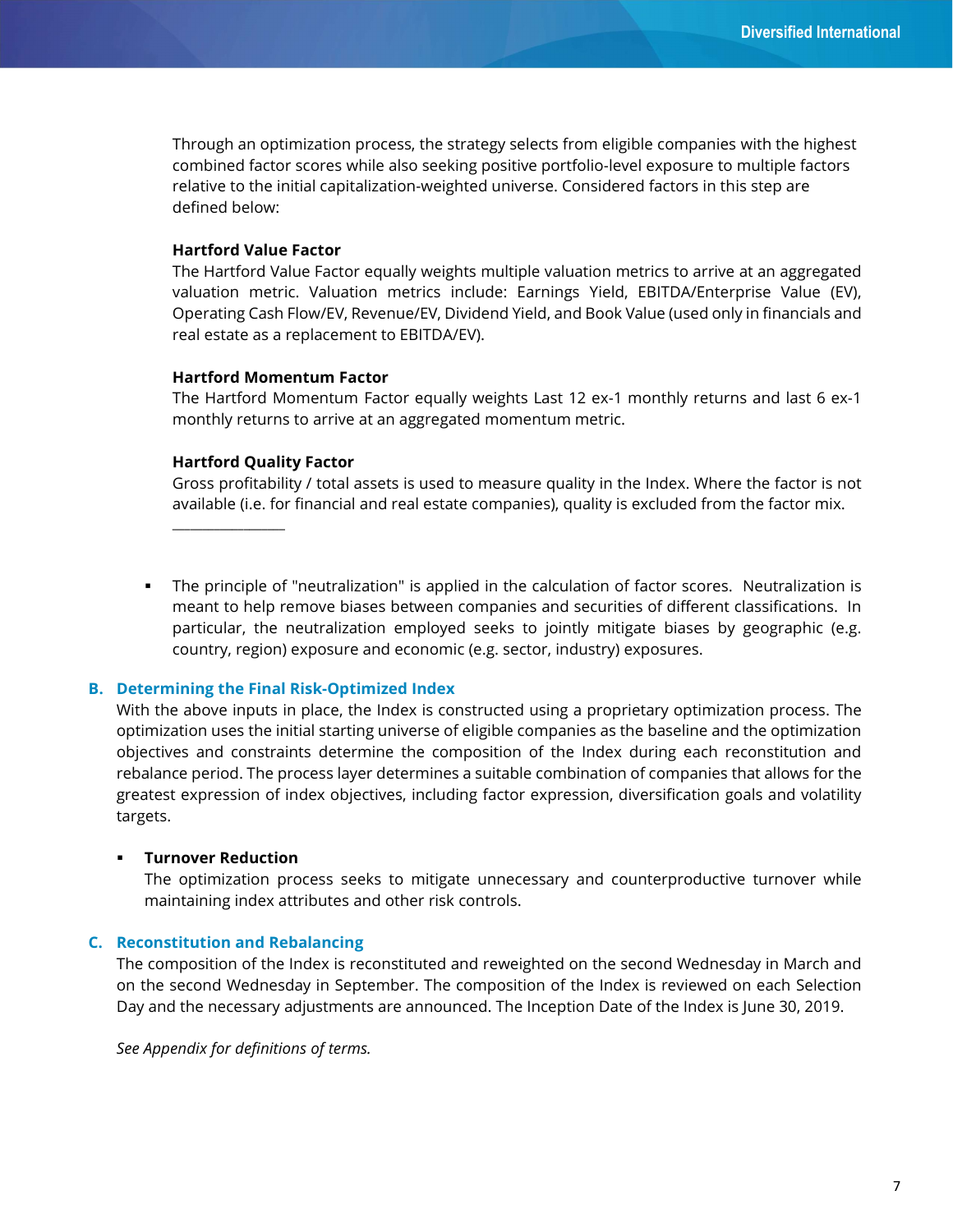Through an optimization process, the strategy selects from eligible companies with the highest combined factor scores while also seeking positive portfolio-level exposure to multiple factors relative to the initial capitalization-weighted universe. Considered factors in this step are defined below:

#### Hartford Value Factor

The Hartford Value Factor equally weights multiple valuation metrics to arrive at an aggregated valuation metric. Valuation metrics include: Earnings Yield, EBITDA/Enterprise Value (EV), Operating Cash Flow/EV, Revenue/EV, Dividend Yield, and Book Value (used only in financials and real estate as a replacement to EBITDA/EV).

#### Hartford Momentum Factor

The Hartford Momentum Factor equally weights Last 12 ex-1 monthly returns and last 6 ex-1 monthly returns to arrive at an aggregated momentum metric.

#### Hartford Quality Factor

\_\_\_\_\_\_\_\_\_\_\_\_\_\_\_\_\_\_\_

Gross profitability / total assets is used to measure quality in the Index. Where the factor is not available (i.e. for financial and real estate companies), quality is excluded from the factor mix.

 The principle of "neutralization" is applied in the calculation of factor scores. Neutralization is meant to help remove biases between companies and securities of different classifications. In particular, the neutralization employed seeks to jointly mitigate biases by geographic (e.g. country, region) exposure and economic (e.g. sector, industry) exposures.

#### B. Determining the Final Risk-Optimized Index

With the above inputs in place, the Index is constructed using a proprietary optimization process. The optimization uses the initial starting universe of eligible companies as the baseline and the optimization objectives and constraints determine the composition of the Index during each reconstitution and rebalance period. The process layer determines a suitable combination of companies that allows for the greatest expression of index objectives, including factor expression, diversification goals and volatility targets.

#### **EXECUTE: Turnover Reduction**

The optimization process seeks to mitigate unnecessary and counterproductive turnover while maintaining index attributes and other risk controls.

#### C. Reconstitution and Rebalancing

The composition of the Index is reconstituted and reweighted on the second Wednesday in March and on the second Wednesday in September. The composition of the Index is reviewed on each Selection Day and the necessary adjustments are announced. The Inception Date of the Index is June 30, 2019.

See Appendix for definitions of terms.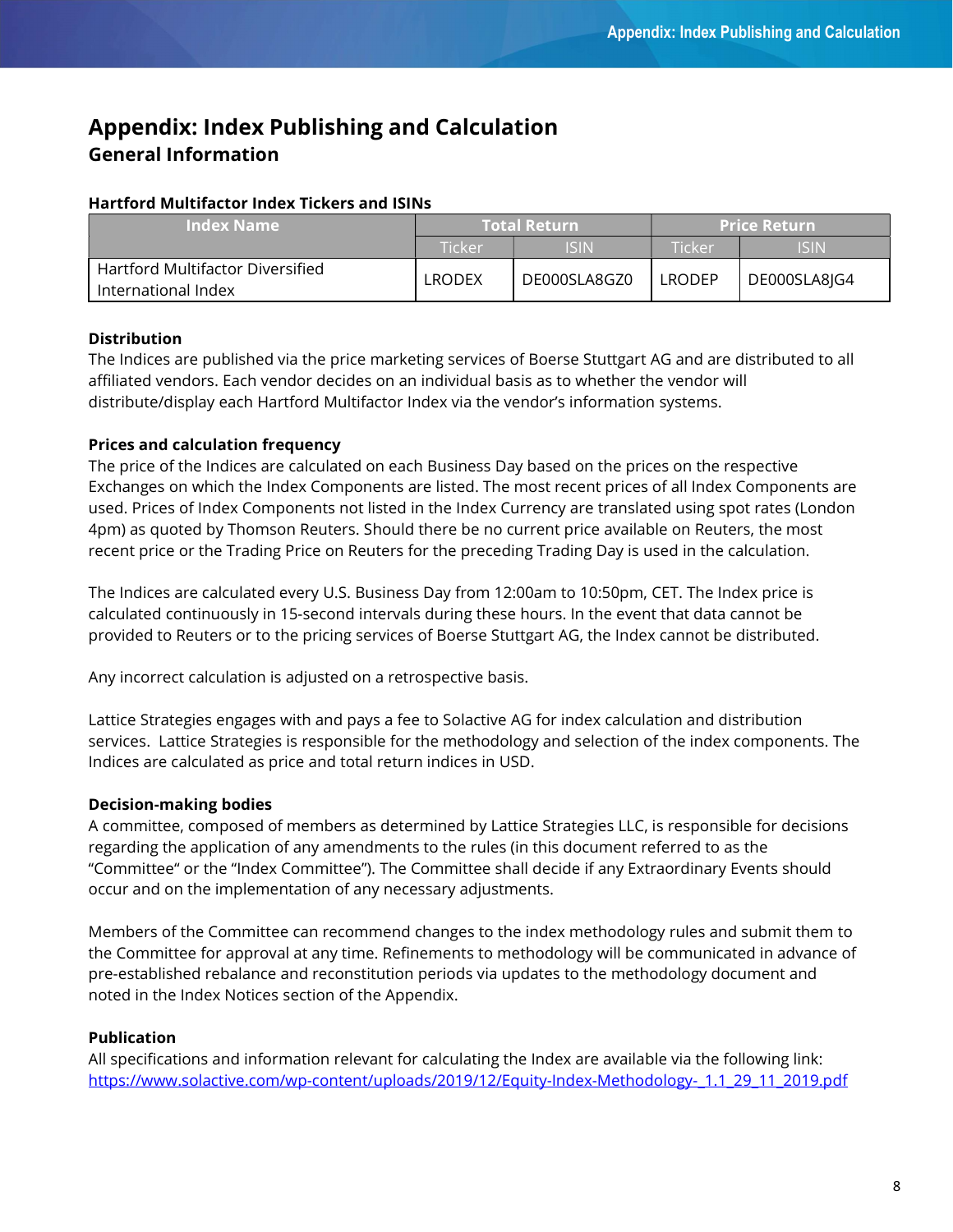# Appendix: Index Publishing and Calculation General Information

### Hartford Multifactor Index Tickers and ISINs

| <b>Index Name</b>                | <b>Total Return</b> |              | <b>Price Return</b> |              |
|----------------------------------|---------------------|--------------|---------------------|--------------|
|                                  | Ticker              | ISIN         | Ticker              | <b>ISIN</b>  |
| Hartford Multifactor Diversified | <b>LRODEX</b>       | DE000SLA8GZ0 | LRODEP              |              |
| International Index              |                     |              |                     | DE000SLA8JG4 |

## **Distribution**

The Indices are published via the price marketing services of Boerse Stuttgart AG and are distributed to all affiliated vendors. Each vendor decides on an individual basis as to whether the vendor will distribute/display each Hartford Multifactor Index via the vendor's information systems.

### Prices and calculation frequency

The price of the Indices are calculated on each Business Day based on the prices on the respective Exchanges on which the Index Components are listed. The most recent prices of all Index Components are used. Prices of Index Components not listed in the Index Currency are translated using spot rates (London 4pm) as quoted by Thomson Reuters. Should there be no current price available on Reuters, the most recent price or the Trading Price on Reuters for the preceding Trading Day is used in the calculation.

The Indices are calculated every U.S. Business Day from 12:00am to 10:50pm, CET. The Index price is calculated continuously in 15-second intervals during these hours. In the event that data cannot be provided to Reuters or to the pricing services of Boerse Stuttgart AG, the Index cannot be distributed.

Any incorrect calculation is adjusted on a retrospective basis.

Lattice Strategies engages with and pays a fee to Solactive AG for index calculation and distribution services. Lattice Strategies is responsible for the methodology and selection of the index components. The Indices are calculated as price and total return indices in USD.

## Decision-making bodies

A committee, composed of members as determined by Lattice Strategies LLC, is responsible for decisions regarding the application of any amendments to the rules (in this document referred to as the "Committee" or the "Index Committee"). The Committee shall decide if any Extraordinary Events should occur and on the implementation of any necessary adjustments.

Members of the Committee can recommend changes to the index methodology rules and submit them to the Committee for approval at any time. Refinements to methodology will be communicated in advance of pre-established rebalance and reconstitution periods via updates to the methodology document and noted in the Index Notices section of the Appendix.

## Publication

All specifications and information relevant for calculating the Index are available via the following link: https://www.solactive.com/wp-content/uploads/2019/12/Equity-Index-Methodology- 1.1\_29\_11\_2019.pdf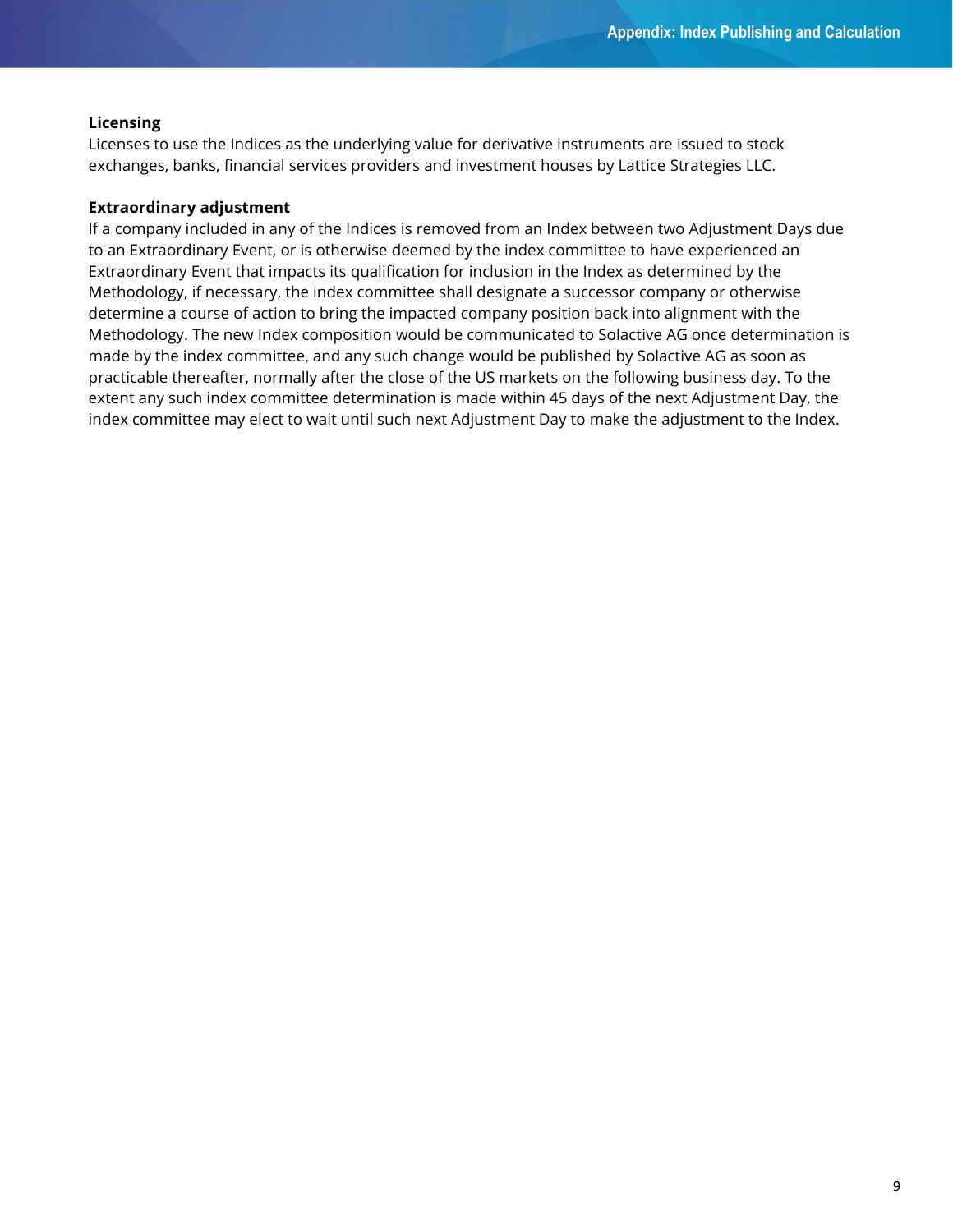#### Licensing

Licenses to use the Indices as the underlying value for derivative instruments are issued to stock exchanges, banks, financial services providers and investment houses by Lattice Strategies LLC.

#### Extraordinary adjustment

If a company included in any of the Indices is removed from an Index between two Adjustment Days due to an Extraordinary Event, or is otherwise deemed by the index committee to have experienced an Extraordinary Event that impacts its qualification for inclusion in the Index as determined by the Methodology, if necessary, the index committee shall designate a successor company or otherwise determine a course of action to bring the impacted company position back into alignment with the Methodology. The new Index composition would be communicated to Solactive AG once determination is made by the index committee, and any such change would be published by Solactive AG as soon as practicable thereafter, normally after the close of the US markets on the following business day. To the extent any such index committee determination is made within 45 days of the next Adjustment Day, the index committee may elect to wait until such next Adjustment Day to make the adjustment to the Index.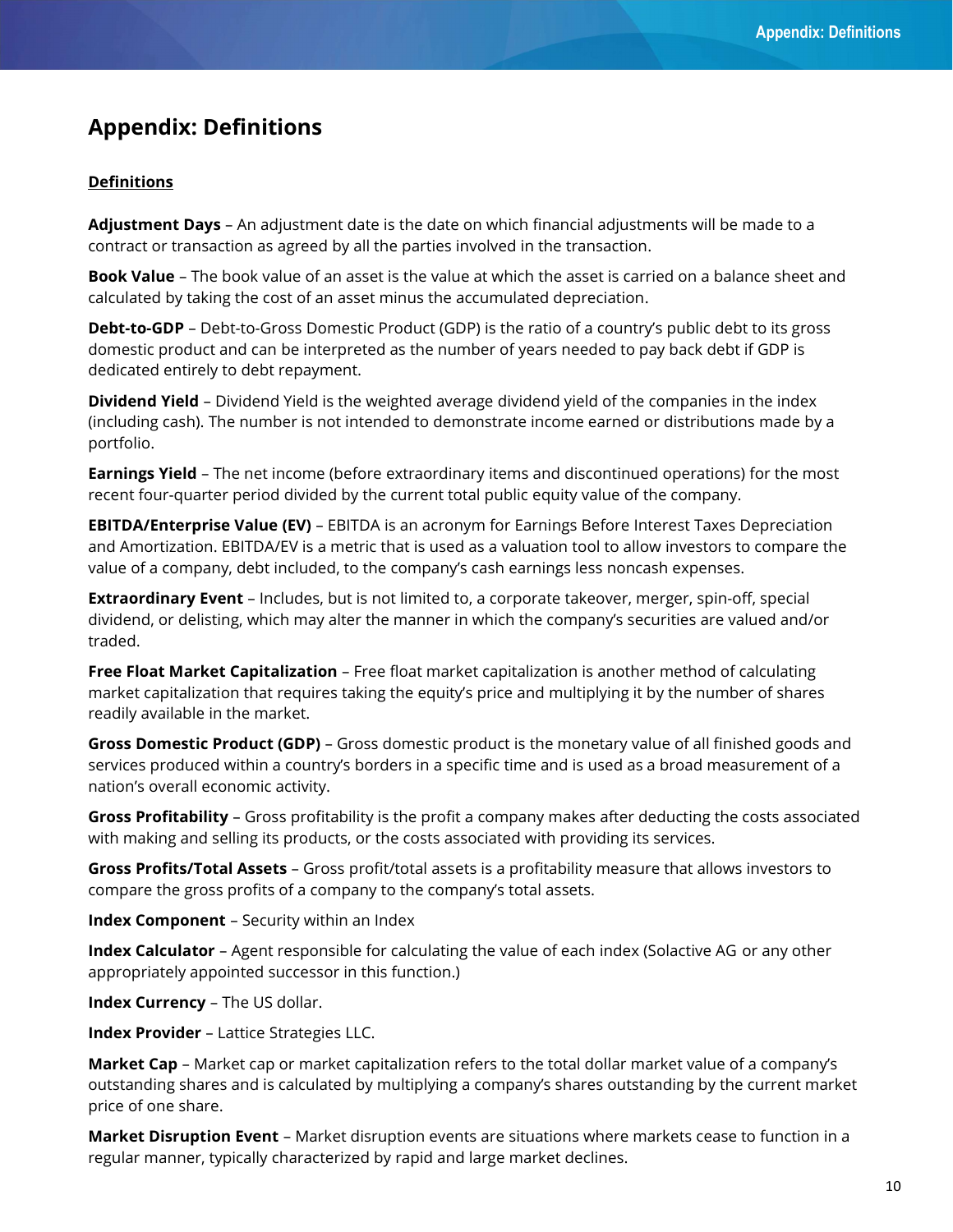# Appendix: Definitions

#### Definitions

Adjustment Days - An adjustment date is the date on which financial adjustments will be made to a contract or transaction as agreed by all the parties involved in the transaction.

**Book Value** – The book value of an asset is the value at which the asset is carried on a balance sheet and calculated by taking the cost of an asset minus the accumulated depreciation.

**Debt-to-GDP** – Debt-to-Gross Domestic Product (GDP) is the ratio of a country's public debt to its gross domestic product and can be interpreted as the number of years needed to pay back debt if GDP is dedicated entirely to debt repayment.

Dividend Yield - Dividend Yield is the weighted average dividend yield of the companies in the index (including cash). The number is not intended to demonstrate income earned or distributions made by a portfolio.

**Earnings Yield** – The net income (before extraordinary items and discontinued operations) for the most recent four-quarter period divided by the current total public equity value of the company.

**EBITDA/Enterprise Value (EV)** – EBITDA is an acronym for Earnings Before Interest Taxes Depreciation and Amortization. EBITDA/EV is a metric that is used as a valuation tool to allow investors to compare the value of a company, debt included, to the company's cash earnings less noncash expenses.

**Extraordinary Event** – Includes, but is not limited to, a corporate takeover, merger, spin-off, special dividend, or delisting, which may alter the manner in which the company's securities are valued and/or traded.

Free Float Market Capitalization - Free float market capitalization is another method of calculating market capitalization that requires taking the equity's price and multiplying it by the number of shares readily available in the market.

Gross Domestic Product (GDP) - Gross domestic product is the monetary value of all finished goods and services produced within a country's borders in a specific time and is used as a broad measurement of a nation's overall economic activity.

Gross Profitability - Gross profitability is the profit a company makes after deducting the costs associated with making and selling its products, or the costs associated with providing its services.

Gross Profits/Total Assets – Gross profit/total assets is a profitability measure that allows investors to compare the gross profits of a company to the company's total assets.

Index Component – Security within an Index

Index Calculator – Agent responsible for calculating the value of each index (Solactive AG or any other appropriately appointed successor in this function.)

Index Currency – The US dollar.

Index Provider – Lattice Strategies LLC.

Market Cap – Market cap or market capitalization refers to the total dollar market value of a company's outstanding shares and is calculated by multiplying a company's shares outstanding by the current market price of one share.

Market Disruption Event - Market disruption events are situations where markets cease to function in a regular manner, typically characterized by rapid and large market declines.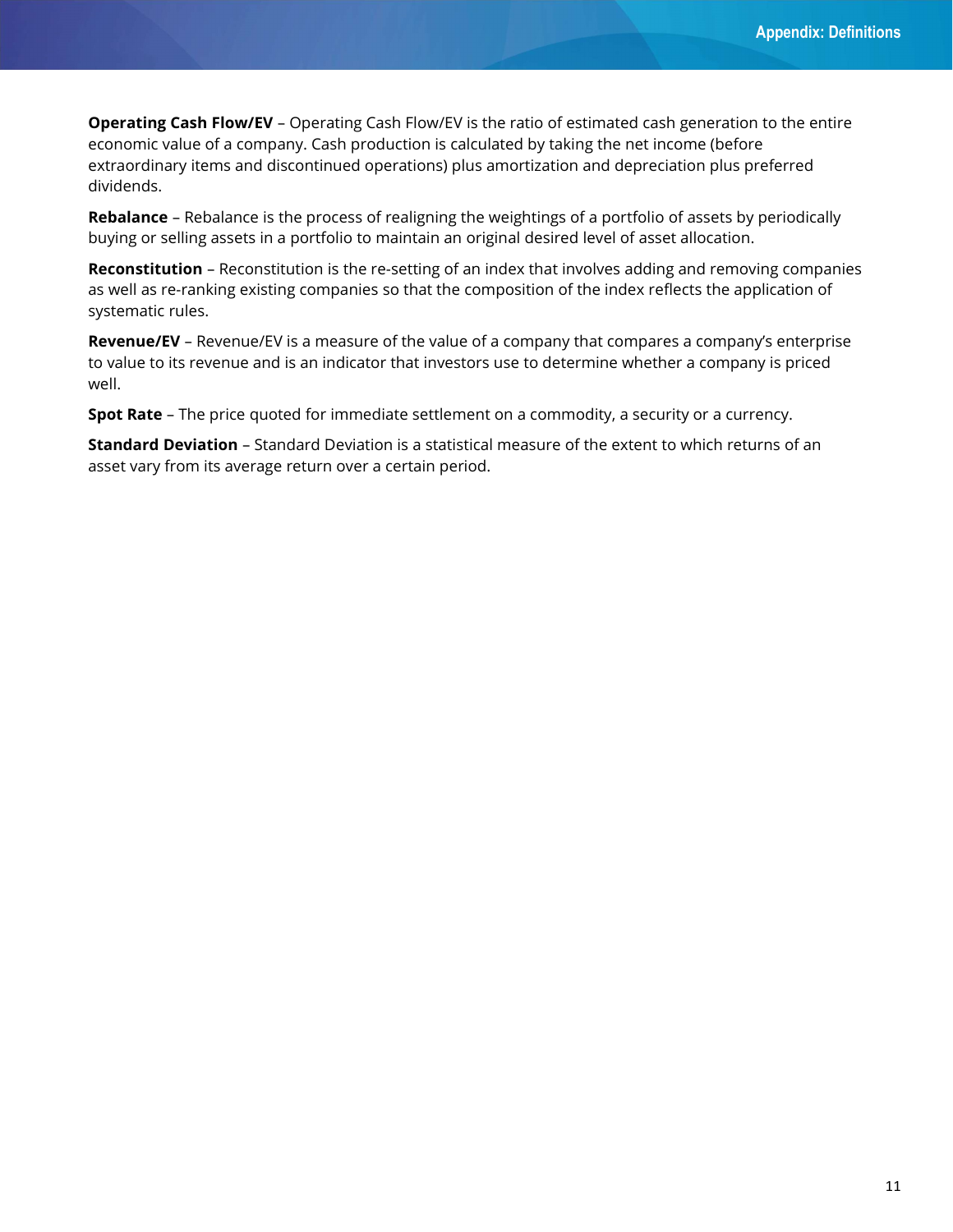**Operating Cash Flow/EV** – Operating Cash Flow/EV is the ratio of estimated cash generation to the entire economic value of a company. Cash production is calculated by taking the net income (before extraordinary items and discontinued operations) plus amortization and depreciation plus preferred dividends.

Rebalance – Rebalance is the process of realigning the weightings of a portfolio of assets by periodically buying or selling assets in a portfolio to maintain an original desired level of asset allocation.

Reconstitution - Reconstitution is the re-setting of an index that involves adding and removing companies as well as re-ranking existing companies so that the composition of the index reflects the application of systematic rules.

Revenue/EV - Revenue/EV is a measure of the value of a company that compares a company's enterprise to value to its revenue and is an indicator that investors use to determine whether a company is priced well.

Spot Rate – The price quoted for immediate settlement on a commodity, a security or a currency.

Standard Deviation - Standard Deviation is a statistical measure of the extent to which returns of an asset vary from its average return over a certain period.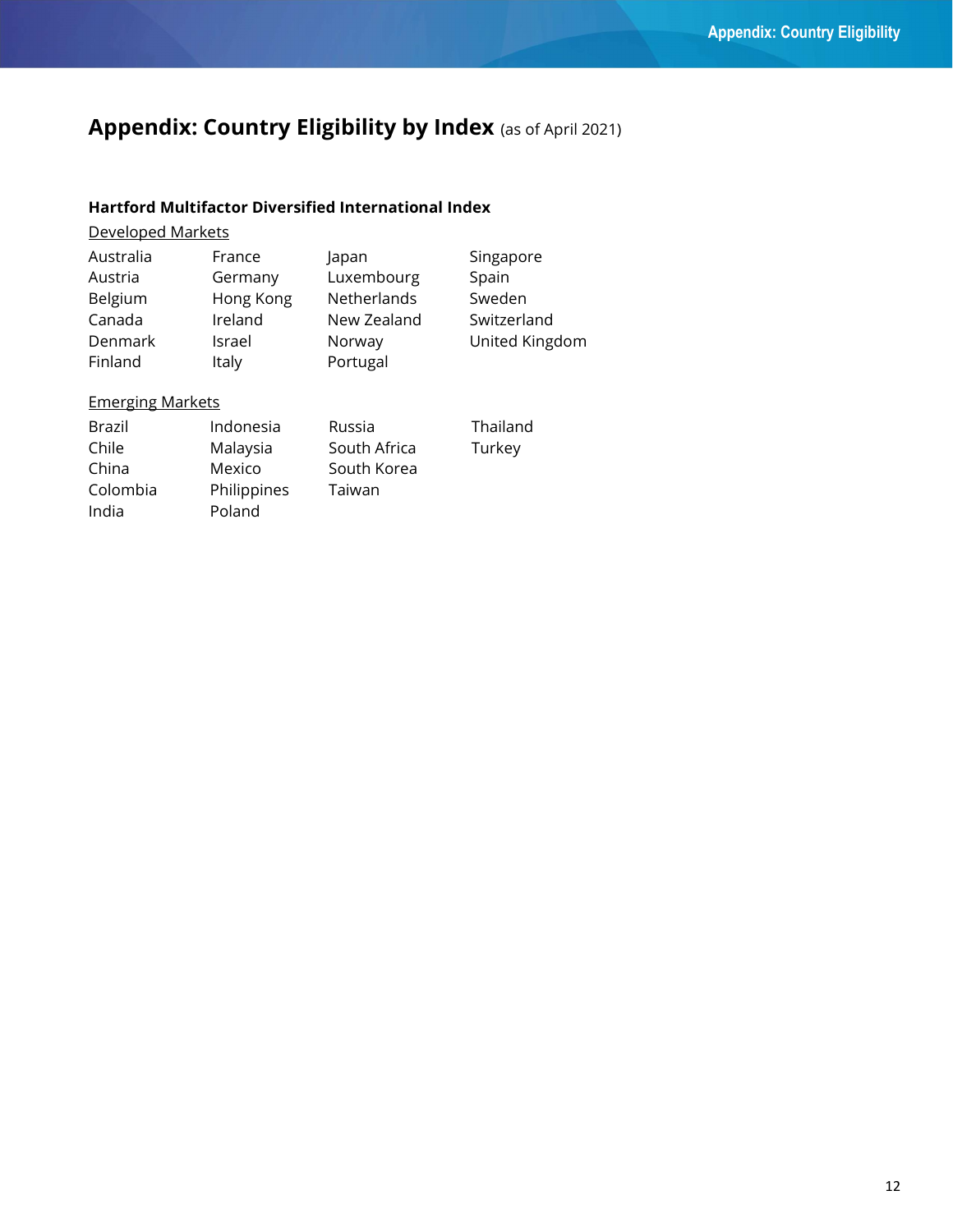# Appendix: Country Eligibility by Index (as of April 2021)

# Hartford Multifactor Diversified International Index

# Developed Markets

| Australia | France    | Japan       | Singapore      |
|-----------|-----------|-------------|----------------|
| Austria   | Germany   | Luxembourg  | Spain          |
| Belgium   | Hong Kong | Netherlands | Sweden         |
| Canada    | Ireland   | New Zealand | Switzerland    |
| Denmark   | Israel    | Norway      | United Kingdom |
| Finland   | Italy     | Portugal    |                |

# Emerging Markets

| Brazil   | Indonesia   | Russia       |
|----------|-------------|--------------|
| Chile    | Malaysia    | South Africa |
| China    | Mexico      | South Korea  |
| Colombia | Philippines | Taiwan       |
| India    | Poland      |              |

Thailand Turkey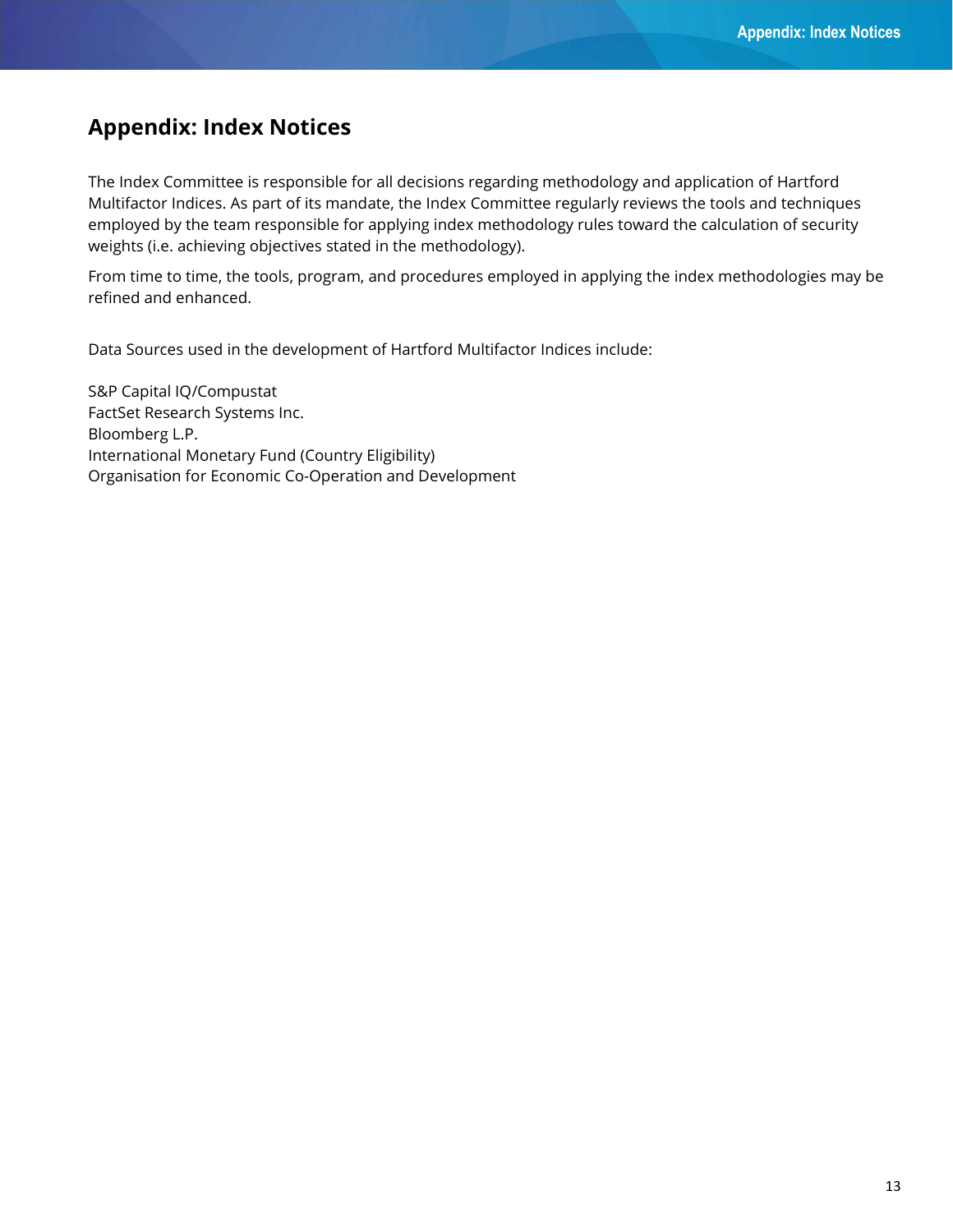# Appendix: Index Notices

The Index Committee is responsible for all decisions regarding methodology and application of Hartford Multifactor Indices. As part of its mandate, the Index Committee regularly reviews the tools and techniques employed by the team responsible for applying index methodology rules toward the calculation of security weights (i.e. achieving objectives stated in the methodology).

From time to time, the tools, program, and procedures employed in applying the index methodologies may be refined and enhanced.

Data Sources used in the development of Hartford Multifactor Indices include:

S&P Capital IQ/Compustat FactSet Research Systems Inc. Bloomberg L.P. International Monetary Fund (Country Eligibility) Organisation for Economic Co-Operation and Development